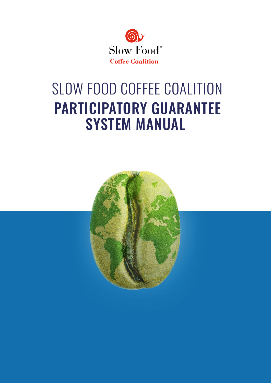

# SLOW FOOD COFFEE COALITION PARTICIPATORY GUARANTEE SYSTEM MANUAL

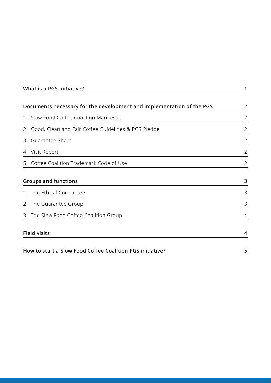| What is a PGS initiative?                                             | 1              |
|-----------------------------------------------------------------------|----------------|
| Documents necessary for the development and implementation of the PGS | $\overline{2}$ |
| 1. Slow Food Coffee Coalition Manifesto                               | $\overline{2}$ |
| 2. Good, Clean and Fair Coffee Guidelines & PGS Pledge                | 2              |
| 3. Guarantee Sheet                                                    | 2              |
| 4. Visit Report                                                       | 2              |
| 5. Coffee Coalition Trademark Code of Use                             | 2              |
| <b>Groups and functions</b>                                           | 3              |
| 1. The Ethical Committee                                              | 3              |
| 2. The Guarantee Group                                                | 3              |
| 3. The Slow Food Coffee Coalition Group                               | 4              |
| <b>Field visits</b>                                                   | 4              |
| How to start a Slow Food Coffee Coalition PGS initiative?             | 5              |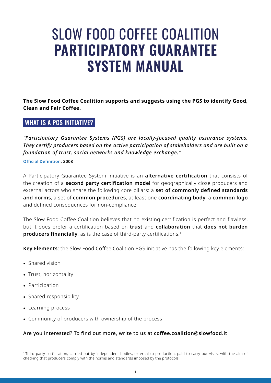## SLOW FOOD COFFEE COALITION **PARTICIPATORY GUARANTEE SYSTEM MANUAL**

**The Slow Food Coffee Coalition supports and suggests using the PGS to identify Good, Clean and Fair Coffee.**

## WHAT IS A PGS INITIATIVE?

*"Participatory Guarantee Systems (PGS) are locally-focused quality assurance systems. They certify producers based on the active participation of stakeholders and are built on a foundation of trust, social networks and knowledge exchange."* 

#### **[Official Definition,](https://www.ifoam.bio/our-work/how/standards-certification/participatory-guarantee-systems) 2008**

A Participatory Guarantee System initiative is an **alternative certification** that consists of the creation of a **second party certification model** for geographically close producers and external actors who share the following core pillars: a **set of commonly defined standards and norms**, a set of **common procedures**, at least one **coordinating body**, a **common logo**  and defined consequences for non-compliance.

The Slow Food Coffee Coalition believes that no existing certification is perfect and flawless, but it does prefer a certification based on **trust** and **collaboration** that **does not burden producers financially**, as is the case of third-party certifications.<sup>1</sup>

**Key Elements**: the Slow Food Coffee Coalition PGS initiative has the following key elements:

- Shared vision
- Trust, horizontality
- Participation
- Shared responsibility
- Learning process
- Community of producers with ownership of the process

#### Are you interested? To find out more, write to us at **coffee.coalition@slowfood.it**

<sup>1</sup> Third party certification, carried out by independent bodies, external to production, paid to carry out visits, with the aim of checking that producers comply with the norms and standards imposed by the protocols.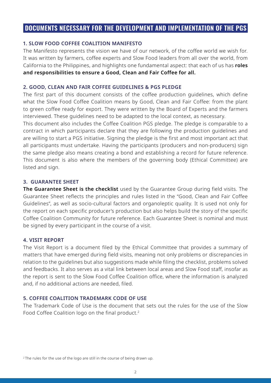## **DOCUMENTS NECESSARY FOR THE DEVELOPMENT AND IMPLEMENTATION OF THE PGS**

#### **1. SLOW FOOD COFFEE COALITION MANIFESTO**

The Manifesto represents the vision we have of our network, of the coffee world we wish for. It was written by farmers, coffee experts and Slow Food leaders from all over the world, from California to the Philippines, and highlights one fundamental aspect: that each of us has **roles and responsibilities to ensure a Good, Clean and Fair Coffee for all.**

#### **2. GOOD, CLEAN AND FAIR COFFEE GUIDELINES & PGS PLEDGE**

The first part of this document consists of the coffee production guidelines, which define what the Slow Food Coffee Coalition means by Good, Clean and Fair Coffee: from the plant to green coffee ready for export. They were written by the Board of Experts and the farmers interviewed. These guidelines need to be adapted to the local context, as necessary.

This document also includes the Coffee Coalition PGS pledge. The pledge is comparable to a contract in which participants declare that they are following the production guidelines and are willing to start a PGS initiative. Signing the pledge is the first and most important act that all participants must undertake. Having the participants (producers and non-producers) sign the same pledge also means creating a bond and establishing a record for future reference. This document is also where the members of the governing body (Ethical Committee) are listed and sign.

#### **3. GUARANTEE SHEET**

**The Guarantee Sheet is the checklist** used by the Guarantee Group during field visits. The Guarantee Sheet reflects the principles and rules listed in the "Good, Clean and Fair Coffee Guidelines", as well as socio-cultural factors and organoleptic quality. It is used not only for the report on each specific producer's production but also helps build the story of the specific Coffee Coalition Community for future reference. Each Guarantee Sheet is nominal and must be signed by every participant in the course of a visit.

#### **4. VISIT REPORT**

The Visit Report is a document filed by the Ethical Committee that provides a summary of matters that have emerged during field visits, meaning not only problems or discrepancies in relation to the guidelines but also suggestions made while filing the checklist, problems solved and feedbacks. It also serves as a vital link between local areas and Slow Food staff, insofar as the report is sent to the Slow Food Coffee Coalition office, where the information is analyzed and, if no additional actions are needed, filed.

#### **5. COFFEE COALITION TRADEMARK CODE OF USE**

The Trademark Code of Use is the document that sets out the rules for the use of the Slow Food Coffee Coalition logo on the final product.<sup>2</sup>

<sup>&</sup>lt;sup>2</sup> The rules for the use of the logo are still in the course of being drawn up.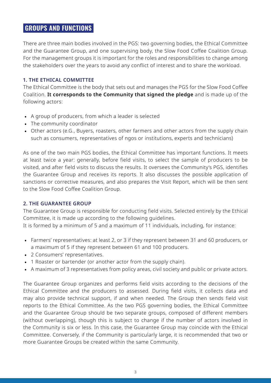## **GROUPS AND FUNCTIONS**

There are three main bodies involved in the PGS: two governing bodies, the Ethical Committee and the Guarantee Group, and one supervising body, the Slow Food Coffee Coalition Group. For the management groups it is important for the roles and responsibilities to change among the stakeholders over the years to avoid any conflict of interest and to share the workload.

#### **1. THE ETHICAL COMMITTEE**

The Ethical Committee is the body that sets out and manages the PGS for the Slow Food Coffee Coalition. **It corresponds to the Community that signed the pledge** and is made up of the following actors:

- A group of producers, from which a leader is selected
- The community coordinator
- Other actors (e.G., Buyers, roasters, other farmers and other actors from the supply chain such as consumers, representatives of ngos or institutions, experts and technicians)

As one of the two main PGS bodies, the Ethical Committee has important functions. It meets at least twice a year: generally, before field visits, to select the sample of producers to be visited, and after field visits to discuss the results. It oversees the Community's PGS, identifies the Guarantee Group and receives its reports. It also discusses the possible application of sanctions or corrective measures, and also prepares the Visit Report, which will be then sent to the Slow Food Coffee Coalition Group.

#### **2. THE GUARANTEE GROUP**

The Guarantee Group is responsible for conducting field visits. Selected entirely by the Ethical Committee, it is made up according to the following guidelines.

It is formed by a minimum of 5 and a maximum of 11 individuals, including, for instance:

- Farmers' representatives: at least 2, or 3 if they represent between 31 and 60 producers, or a maximum of 5 if they represent between 61 and 100 producers.
- 2 Consumers' representatives.
- 1 Roaster or bartender (or another actor from the supply chain).
- A maximum of 3 representatives from policy areas, civil society and public or private actors.

The Guarantee Group organizes and performs field visits according to the decisions of the Ethical Committee and the producers to assessed. During field visits, it collects data and may also provide technical support, if and when needed. The Group then sends field visit reports to the Ethical Committee. As the two PGS governing bodies, the Ethical Committee and the Guarantee Group should be two separate groups, composed of different members (without overlapping), though this is subject to change if the number of actors involved in the Community is six or less. In this case, the Guarantee Group may coincide with the Ethical Committee. Conversely, if the Community is particularly large, it is recommended that two or more Guarantee Groups be created within the same Community.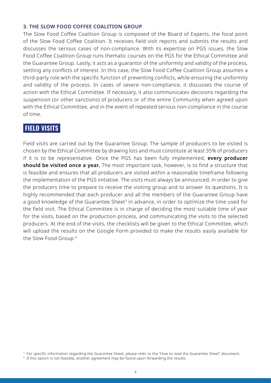#### **3. THE SLOW FOOD COFFEE COALITION GROUP**

The Slow Food Coffee Coalition Group is composed of the Board of Experts, the focal point of the Slow Food Coffee Coalition. It receives field visit reports and submits the results and discusses the serious cases of non-compliance. With its expertise on PGS issues, the Slow Food Coffee Coalition Group runs thematic courses on the PGS for the Ethical Committee and the Guarantee Group. Lastly, it acts as a guarantor of the uniformity and validity of the process, settling any conflicts of interest. In this case, the Slow Food Coffee Coalition Group assumes a third-party role with the specific function of preventing conflicts, while ensuring the uniformity and validity of the process. In cases of severe non-compliance, it discusses the course of action with the Ethical Committee. If necessary, it also communicates decisions regarding the suspension (or other sanctions) of producers or of the entire Community when agreed upon with the Ethical Committee, and in the event of repeated serious non-compliance in the course of time.

## **FIELD VISITS**

Field visits are carried out by the Guarantee Group. The sample of producers to be visited is chosen by the Ethical Committee by drawing lots and must constitute at least 35% of producers if it is to be representative. Once the PGS has been fully implemented, **every producer should be visited once a year.** The most important task, however, is to find a structure that is feasible and ensures that all producers are visited within a reasonable timeframe following the implementation of the PGS initiative. The visits must always be announced, in order to give the producers time to prepare to receive the visiting group and to answer its questions. It is highly recommended that each producer and all the members of the Guarantee Group have a good knowledge of the Guarantee Sheet<sup>3</sup> in advance, in order to optimize the time used for the field visit. The Ethical Committee is in charge of deciding the most suitable time of year for the visits, based on the production process, and communicating the visits to the selected producers. At the end of the visits, the checklists will be given to the Ethical Committee, which will upload the results on the Google Form provided to make the results easily available for the Slow Food Group.4

<sup>&</sup>lt;sup>3</sup> For specific information regarding the Guarantee Sheet, please refer to the "How to read the Guarantee Sheet" document.

<sup>4</sup> If this option is not feasible, another agreement may be found upon forwarding the results.